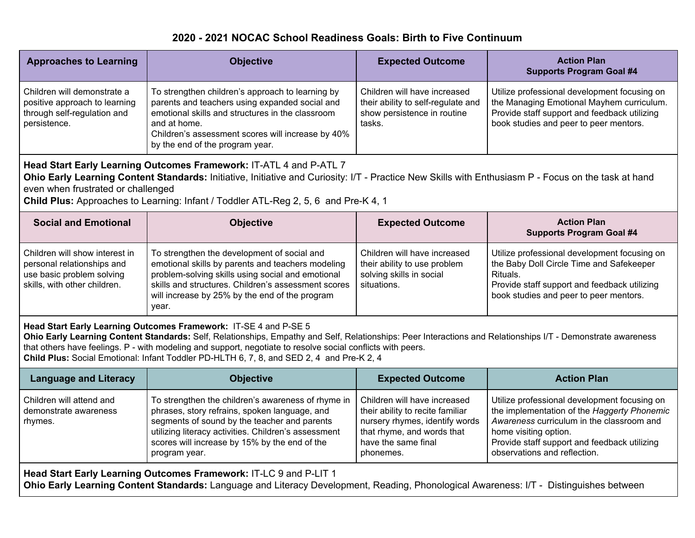## **2020 - 2021 NOCAC School Readiness Goals: Birth to Five Continuum**

| <b>Approaches to Learning</b>                                                                                                                                                                                                                                                                                                                                                                                                                | <b>Objective</b>                                                                                                                                                                                                                                                              | <b>Expected Outcome</b>                                                                                                                                              | <b>Action Plan</b><br><b>Supports Program Goal #4</b>                                                                                                                                                                                             |  |  |  |
|----------------------------------------------------------------------------------------------------------------------------------------------------------------------------------------------------------------------------------------------------------------------------------------------------------------------------------------------------------------------------------------------------------------------------------------------|-------------------------------------------------------------------------------------------------------------------------------------------------------------------------------------------------------------------------------------------------------------------------------|----------------------------------------------------------------------------------------------------------------------------------------------------------------------|---------------------------------------------------------------------------------------------------------------------------------------------------------------------------------------------------------------------------------------------------|--|--|--|
| Children will demonstrate a<br>positive approach to learning<br>through self-regulation and<br>persistence.                                                                                                                                                                                                                                                                                                                                  | To strengthen children's approach to learning by<br>parents and teachers using expanded social and<br>emotional skills and structures in the classroom<br>and at home.<br>Children's assessment scores will increase by 40%<br>by the end of the program year.                | Children will have increased<br>their ability to self-regulate and<br>show persistence in routine<br>tasks.                                                          | Utilize professional development focusing on<br>the Managing Emotional Mayhem curriculum.<br>Provide staff support and feedback utilizing<br>book studies and peer to peer mentors.                                                               |  |  |  |
| Head Start Early Learning Outcomes Framework: IT-ATL 4 and P-ATL 7<br>Ohio Early Learning Content Standards: Initiative, Initiative and Curiosity: I/T - Practice New Skills with Enthusiasm P - Focus on the task at hand<br>even when frustrated or challenged<br>Child Plus: Approaches to Learning: Infant / Toddler ATL-Reg 2, 5, 6 and Pre-K 4, 1                                                                                      |                                                                                                                                                                                                                                                                               |                                                                                                                                                                      |                                                                                                                                                                                                                                                   |  |  |  |
| <b>Social and Emotional</b>                                                                                                                                                                                                                                                                                                                                                                                                                  | <b>Objective</b>                                                                                                                                                                                                                                                              | <b>Expected Outcome</b>                                                                                                                                              | <b>Action Plan</b><br><b>Supports Program Goal #4</b>                                                                                                                                                                                             |  |  |  |
| Children will show interest in<br>personal relationships and<br>use basic problem solving<br>skills, with other children.                                                                                                                                                                                                                                                                                                                    | To strengthen the development of social and<br>emotional skills by parents and teachers modeling<br>problem-solving skills using social and emotional<br>skills and structures. Children's assessment scores<br>will increase by 25% by the end of the program<br>year.       | Children will have increased<br>their ability to use problem<br>solving skills in social<br>situations.                                                              | Utilize professional development focusing on<br>the Baby Doll Circle Time and Safekeeper<br>Rituals.<br>Provide staff support and feedback utilizing<br>book studies and peer to peer mentors.                                                    |  |  |  |
| Head Start Early Learning Outcomes Framework: IT-SE 4 and P-SE 5<br>Ohio Early Learning Content Standards: Self, Relationships, Empathy and Self, Relationships: Peer Interactions and Relationships I/T - Demonstrate awareness<br>that others have feelings. P - with modeling and support, negotiate to resolve social conflicts with peers.<br>Child Plus: Social Emotional: Infant Toddler PD-HLTH 6, 7, 8, and SED 2, 4 and Pre-K 2, 4 |                                                                                                                                                                                                                                                                               |                                                                                                                                                                      |                                                                                                                                                                                                                                                   |  |  |  |
| <b>Language and Literacy</b>                                                                                                                                                                                                                                                                                                                                                                                                                 | <b>Objective</b>                                                                                                                                                                                                                                                              | <b>Expected Outcome</b>                                                                                                                                              | <b>Action Plan</b>                                                                                                                                                                                                                                |  |  |  |
| Children will attend and<br>demonstrate awareness<br>rhymes.                                                                                                                                                                                                                                                                                                                                                                                 | To strengthen the children's awareness of rhyme in<br>phrases, story refrains, spoken language, and<br>segments of sound by the teacher and parents<br>utilizing literacy activities. Children's assessment<br>scores will increase by 15% by the end of the<br>program year. | Children will have increased<br>their ability to recite familiar<br>nursery rhymes, identify words<br>that rhyme, and words that<br>have the same final<br>phonemes. | Utilize professional development focusing on<br>the implementation of the Haggerty Phonemic<br>Awareness curriculum in the classroom and<br>home visiting option.<br>Provide staff support and feedback utilizing<br>observations and reflection. |  |  |  |
| Head Start Early Learning Outcomes Framework: IT-LC 9 and P-LIT 1<br>Ohio Early Learning Content Standards: Language and Literacy Development, Reading, Phonological Awareness: I/T - Distinguishes between                                                                                                                                                                                                                                  |                                                                                                                                                                                                                                                                               |                                                                                                                                                                      |                                                                                                                                                                                                                                                   |  |  |  |